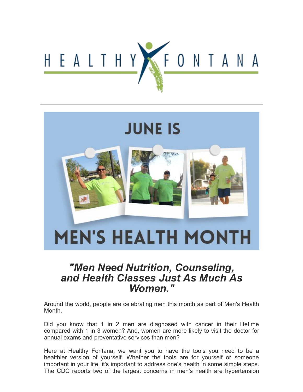

# **JUNE IS MEN'S HEALTH MONTH**

# *"Men Need Nutrition, Counseling, and Health Classes Just As Much As Women."*

Around the world, people are celebrating men this month as part of Men's Health Month.

Did you know that 1 in 2 men are diagnosed with cancer in their lifetime compared with 1 in 3 women? And, women are more likely to visit the doctor for annual exams and preventative services than men?

Here at Healthy Fontana, we want you to have the tools you need to be a healthier version of yourself. Whether the tools are for yourself or someone important in your life, it's important to address one's health in some simple steps. The CDC reports two of the largest concerns in men's health are hypertension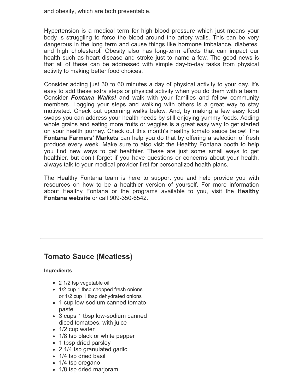and obesity, which are both preventable.

Hypertension is a medical term for high blood pressure which just means your body is struggling to force the blood around the artery walls. This can be very dangerous in the long term and cause things like hormone imbalance, diabetes, and high cholesterol. Obesity also has long-term effects that can impact our health such as heart disease and stroke just to name a few. The good news is that all of these can be addressed with simple day-to-day tasks from physical activity to making better food choices.

Consider adding just 30 to 60 minutes a day of physical activity to your day. It's easy to add these extra steps or physical activity when you do them with a team. Consider *[Fontana Walks!](https://click.info.fontana.org/?qs=2c129dd314c80af1fc30ce9f96d79fd84da29d04aad8d86a54ed223f1904743d39087228a7c81a91c870bd8a4ba4a14da7f8bbd179cd2615)* and walk with your families and fellow community members. Logging your steps and walking with others is a great way to stay motivated. Check out upcoming walks below. And, by making a few easy food swaps you can address your health needs by still enjoying yummy foods. Adding whole grains and eating more fruits or veggies is a great easy way to get started on your health journey. Check out this month's healthy tomato sauce below! The **[Fontana Farmers' Markets](https://click.info.fontana.org/?qs=2c129dd314c80af1b5e7193a174d939a386965c28d7114bf31a664b80496fab4ee3409bfdef3f0bec2d318d040343e316a0c63d019cb84be)** can help you do that by offering a selection of fresh produce every week. Make sure to also visit the Healthy Fontana booth to help you find new ways to get healthier. These are just some small ways to get healthier, but don't forget if you have questions or concerns about your health, always talk to your medical provider first for personalized health plans.

The Healthy Fontana team is here to support you and help provide you with resources on how to be a healthier version of yourself. For more information [about Healthy Fontana or the programs available to you, visit the](https://click.info.fontana.org/?qs=2c129dd314c80af14c848ff14c9b5457b775c2cef7e6aa3d1a56e56d4d22c9fdd1f9cd1e3a34e7eecc37ce1095957efdfb94fe9d6f0dde52) **Healthy Fontana website** or call 909-350-6542.

# **Tomato Sauce (Meatless)**

### **Ingredients**

- 2 1/2 tsp vegetable oil
- 1/2 cup 1 tbsp chopped fresh onions or 1/2 cup 1 tbsp dehydrated onions
- 1 cup low-sodium canned tomato paste
- 3 cups 1 tbsp low-sodium canned diced tomatoes, with juice
- 1/2 cup water
- 1/8 tsp black or white pepper
- 1 tbsp dried parsley
- 2 1/4 tsp granulated garlic
- 1/4 tsp dried basil
- 1/4 tsp oregano
- 1/8 tsp dried marjoram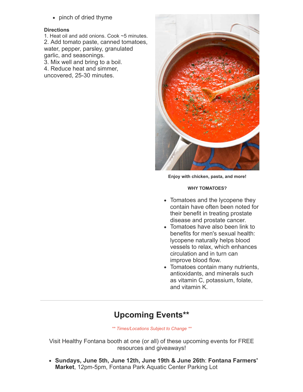• pinch of dried thyme

### **Directions**

1. Heat oil and add onions. Cook ~5 minutes. 2. Add tomato paste, canned tomatoes, water, pepper, parsley, granulated garlic, and seasonings. 3. Mix well and bring to a boil.

4. Reduce heat and simmer,

uncovered, 25-30 minutes.



**Enjoy with chicken, pasta, and more!**

### **WHY TOMATOES?**

- Tomatoes and the lycopene they contain have often been noted for their benefit in treating prostate disease and prostate cancer.
- Tomatoes have also been link to benefits for men's sexual health: lycopene naturally helps blood vessels to relax, which enhances circulation and in turn can improve blood flow.
- Tomatoes contain many nutrients, antioxidants, and minerals such as vitamin C, potassium, folate, and vitamin K.

# **Upcoming Events\*\***

*\*\* Times/Locations Subject to Change \*\**

Visit Healthy Fontana booth at one (or all) of these upcoming events for FREE resources and giveaways!

**[Sundays, June 5th, June 12th, June 19th & June 26th](https://click.info.fontana.org/?qs=2c129dd314c80af1fc35367b64afbe1de4cc8ae5d7b76e92bf1da96c6e2dc6d2dd493fc179e1497dd2cecfcd8a40f0afd9215a5a2ee35756)**: **Fontana Farmers' Market**, 12pm-5pm, Fontana Park Aquatic Center Parking Lot